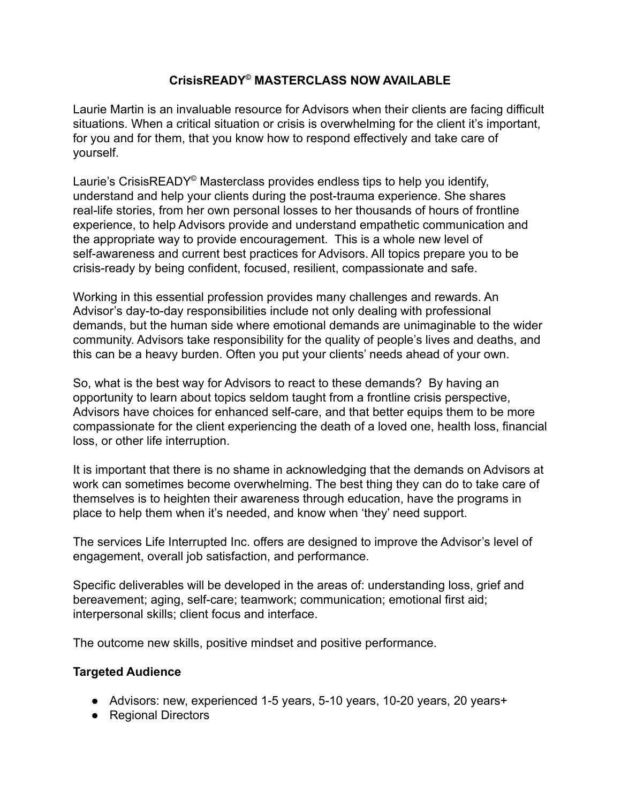## **CrisisREADY© MASTERCLASS NOW AVAILABLE**

Laurie Martin is an invaluable resource for Advisors when their clients are facing difficult situations. When a critical situation or crisis is overwhelming for the client it's important, for you and for them, that you know how to respond effectively and take care of yourself.

Laurie's CrisisREADY© Masterclass provides endless tips to help you identify, understand and help your clients during the post-trauma experience. She shares real-life stories, from her own personal losses to her thousands of hours of frontline experience, to help Advisors provide and understand empathetic communication and the appropriate way to provide encouragement. This is a whole new level of self-awareness and current best practices for Advisors. All topics prepare you to be crisis-ready by being confident, focused, resilient, compassionate and safe.

Working in this essential profession provides many challenges and rewards. An Advisor's day-to-day responsibilities include not only dealing with professional demands, but the human side where emotional demands are unimaginable to the wider community. Advisors take responsibility for the quality of people's lives and deaths, and this can be a heavy burden. Often you put your clients' needs ahead of your own.

So, what is the best way for Advisors to react to these demands? By having an opportunity to learn about topics seldom taught from a frontline crisis perspective, Advisors have choices for enhanced self-care, and that better equips them to be more compassionate for the client experiencing the death of a loved one, health loss, financial loss, or other life interruption.

It is important that there is no shame in acknowledging that the demands on Advisors at work can sometimes become overwhelming. The best thing they can do to take care of themselves is to heighten their awareness through education, have the programs in place to help them when it's needed, and know when 'they' need support.

The services Life Interrupted Inc. offers are designed to improve the Advisor's level of engagement, overall job satisfaction, and performance.

Specific deliverables will be developed in the areas of: understanding loss, grief and bereavement; aging, self-care; teamwork; communication; emotional first aid; interpersonal skills; client focus and interface.

The outcome new skills, positive mindset and positive performance.

## **Targeted Audience**

- Advisors: new, experienced 1-5 years, 5-10 years, 10-20 years, 20 years+
- Regional Directors